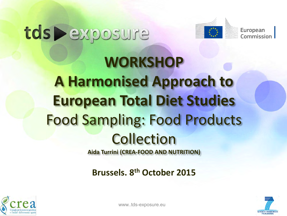# tds > exposure



### **WORKSHOP A Harmonised Approach to European Total Diet Studies** Food Sampling: Food Products Collection

**Aida Turrini (CREA-FOOD AND NUTRITION)** 

**Brussels. 8th October 2015** 



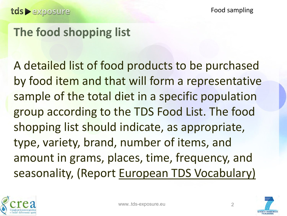### **The food shopping list**

A detailed list of food products to be purchased by food item and that will form a representative sample of the total diet in a specific population group according to the TDS Food List. The food shopping list should indicate, as appropriate, type, variety, brand, number of items, and amount in grams, places, time, frequency, and seasonality, (Report European TDS Vocabulary)



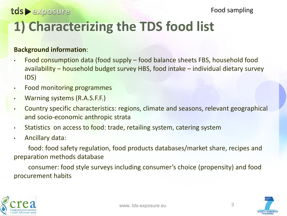### Food sampling tds exposure **1) Characterizing the TDS food list**

#### **Background information**:

- Food consumption data (food supply food balance sheets FBS, household food availability – household budget survey HBS, food intake – individual dietary survey IDS)
- Food monitoring programmes
- Warning systems (R.A.S.F.F.)
- Country specific characteristics: regions, climate and seasons, relevant geographical and socio-economic anthropic strata
- Statistics on access to food: trade, retailing system, catering system
- Ancillary data:

 food: food safety regulation, food products databases/market share, recipes and preparation methods database

 consumer: food style surveys including consumer's choice (propensity) and food procurement habits



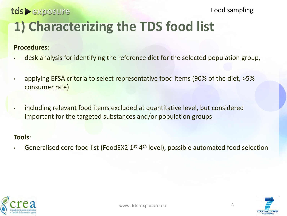### Food sampling tds > exposure **1) Characterizing the TDS food list**

#### **Procedures**:

- desk analysis for identifying the reference diet for the selected population group,
- applying EFSA criteria to select representative food items (90% of the diet, >5% consumer rate)
- including relevant food items excluded at quantitative level, but considered important for the targeted substances and/or population groups

#### **Tools**:

Generalised core food list (FoodEX2 1<sup>st</sup>-4<sup>th</sup> level), possible automated food selection



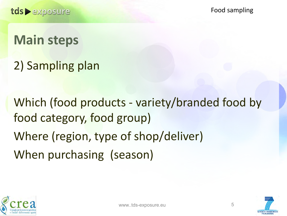### **Main steps**

2) Sampling plan

Which (food products - variety/branded food by food category, food group) Where (region, type of shop/deliver) When purchasing (season)



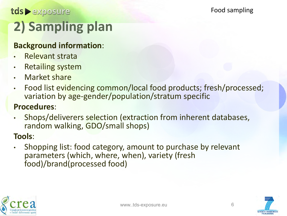#### Food sampling

### tds exposure **2) Sampling plan**

### **Background information**:

- Relevant strata
- Retailing system
- Market share
- Food list evidencing common/local food products; fresh/processed; variation by age-gender/population/stratum specific

### **Procedures**:

• Shops/deliverers selection (extraction from inherent databases, random walking, GDO/small shops)

**Tools**:

• Shopping list: food category, amount to purchase by relevant parameters (which, where, when), variety (fresh food)/brand(processed food)



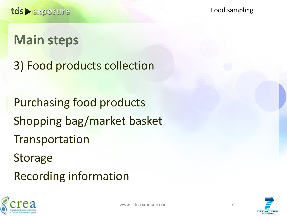Food sampling

### **Main steps**

3) Food products collection

Purchasing food products Shopping bag/market basket **Transportation** Storage Recording information



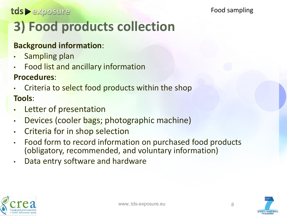tds > exposure

Food sampling

### **3) Food products collection**

### **Background information**:

- Sampling plan
- Food list and ancillary information

**Procedures**:

- Criteria to select food products within the shop **Tools**:
- Letter of presentation
- Devices (cooler bags; photographic machine)
- Criteria for in shop selection
- Food form to record information on purchased food products (obligatory, recommended, and voluntary information)
- Data entry software and hardware



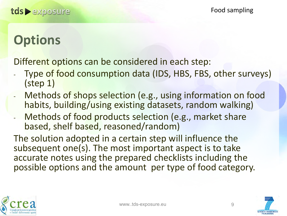### **Options**

Different options can be considered in each step:

- Type of food consumption data (IDS, HBS, FBS, other surveys) (step 1)
- Methods of shops selection (e.g., using information on food habits, building/using existing datasets, random walking)
- Methods of food products selection (e.g., market share based, shelf based, reasoned/random)

The solution adopted in a certain step will influence the subsequent one(s). The most important aspect is to take accurate notes using the prepared checklists including the possible options and the amount per type of food category.



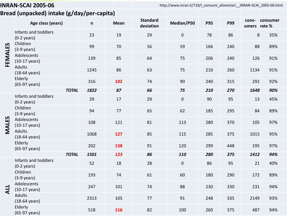#### **INRAN-SCAI 2005-06** http://www.inran.it/710/I\_consumi\_alimentari\_\_INRAN-SCAI\_2005-06.html **Bread (unpacked) intake (g/day/per-capita)**

Food sampling

|              | Age class (years)                             | $\mathsf{n}$ | <b>Mean</b> | <b>Standard</b><br>deviation | Median/P50     | <b>P95</b> | <b>P99</b> | umers rate % | cons-consumer |
|--------------|-----------------------------------------------|--------------|-------------|------------------------------|----------------|------------|------------|--------------|---------------|
|              | Infants and toddlers<br>$(0-2 \text{ years})$ | 23           | 19          | 29                           | $\overline{0}$ | 78         | 86         | 8            | 35%           |
|              | Children<br>$(3-9 \text{ years})$             | 99           | 70          | 56                           | 59             | 166        | 240        | 88           | 89%           |
| FEMALES      | Adolescents<br>$(10-17 \text{ years})$        | 139          | 85          | 64                           | 75             | 206        | 240        | 126          | 91%           |
|              | <b>Adults</b><br>$(18-64 \text{ years})$      | 1245         | 86          | 63                           | 75             | 210        | 260        | 1134         | 91%           |
|              | Elderly<br>(65-97 years)                      | 316          | 102         | 74                           | 90             | 240        | 315        | 292          | 92%           |
|              | <b>TOTAL</b>                                  | 1822         | 87          | 66                           | 75             | 210        | 270        | 1648         | 90%           |
|              | Infants and toddlers<br>$(0-2 \text{ years})$ | 29           | 17          | 29                           | $\mathbf{0}$   | 90         | 95         | 13           | 45%           |
|              | Children<br>$(3-9 \text{ years})$             | 94           | 77          | 65                           | 62             | 185        | 295        | 84           | 89%           |
| <b>MALES</b> | Adolescents<br>$(10-17 \text{ years})$        | 108          | 121         | 81                           | 113            | 280        | 370        | 105          | 97%           |
|              | <b>Adults</b><br>$(18-64 \text{ years})$      | 1068         | 127         | 85                           | 115            | 285        | 375        | 1015         | 95%           |
|              | Elderly<br>(65-97 years)                      | 202          | 138         | 91                           | 120            | 299        | 448        | 195          | 97%           |
|              | <b>TOTAL</b>                                  | 1501         | 123         | 86                           | 110            | 280        | 375        | 1412         | 94%           |
|              | Infants and toddlers<br>$(0-2 \text{ years})$ | 52           | 18          | 28                           | $\mathbf{0}$   | 86         | 95         | 21           | 40%           |
|              | Children<br>$(3-9 \text{ years})$             | 193          | 74          | 61                           | 60             | 180        | 290        | 172          | 89%           |
| コマ           | Adolescents<br>$(10-17 \text{ years})$        | 247          | 101         | 74                           | 88             | 230        | 330        | 231          | 94%           |
|              | <b>Adults</b><br>$(18-64 \text{ years})$      | 2313         | 105         | 77                           | 91             | 248        | 335        | 2149         | 93%           |
|              | Elderly<br>(65-97 years)                      | 518          | 116         | 82                           | 100            | 260        | 375        | 487          | 94%           |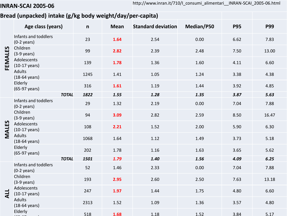Food sampling **INRAN-SCAI 2005-06** http://www.inran.it/710/I\_consumi\_alimentari\_\_INRAN-SCAI\_2005-06.html

#### **Bread (unpacked) intake (g/kg body weight/day/per-capita)**

|              | Age class (years)                             |              | $\mathsf{n}$ | <b>Mean</b> | <b>Standard deviation</b> | Median/P50 | <b>P95</b> | <b>P99</b> |
|--------------|-----------------------------------------------|--------------|--------------|-------------|---------------------------|------------|------------|------------|
|              | Infants and toddlers<br>$(0-2 \text{ years})$ |              | 23           | 1.64        | 2.54                      | 0.00       | 6.62       | 7.83       |
|              | Children<br>$(3-9 \text{ years})$             |              | 99           | 2.82        | 2.39                      | 2.48       | 7.50       | 13.00      |
| FEMALES      | Adolescents<br>$(10-17 \text{ years})$        |              | 139          | 1.78        | 1.36                      | 1.60       | 4.11       | 6.60       |
|              | <b>Adults</b><br>$(18-64 \text{ years})$      |              | 1245         | 1.41        | 1.05                      | 1.24       | 3.38       | 4.38       |
|              | Elderly<br>(65-97 years)                      |              | 316          | 1.61        | 1.19                      | 1.44       | 3.92       | 4.85       |
|              |                                               | <b>TOTAL</b> | 1822         | 1.55        | 1.28                      | 1.35       | 3.87       | 5.63       |
|              | Infants and toddlers<br>$(0-2 \text{ years})$ |              | 29           | 1.32        | 2.19                      | 0.00       | 7.04       | 7.88       |
|              | Children<br>94<br>$(3-9 \text{ years})$       |              | 3.09         | 2.82        | 2.59                      | 8.50       | 16.47      |            |
| <b>MALES</b> | Adolescents<br>$(10-17 \text{ years})$        |              | 108          | 2.21        | 1.52                      | 2.00       | 5.90       | 6.30       |
|              | <b>Adults</b><br>$(18-64 \text{ years})$      |              | 1068         | 1.64        | 1.12                      | 1.49       | 3.73       | 5.18       |
|              | Elderly<br>(65-97 years)                      |              | 202          | 1.78        | 1.16                      | 1.63       | 3.65       | 5.62       |
|              |                                               | <b>TOTAL</b> | 1501         | 1.79        | 1.40                      | 1.56       | 4.09       | 6.25       |
|              | Infants and toddlers<br>$(0-2 \text{ years})$ |              | 52           | 1.46        | 2.33                      | 0.00       | 7.04       | 7.88       |
|              | Children<br>$(3-9 \text{ years})$             |              | 193          | 2.95        | 2.60                      | 2.50       | 7.63       | 13.18      |
| ALL          | Adolescents<br>$(10-17 \text{ years})$        |              | 247          | 1.97        | 1.44                      | 1.75       | 4.80       | 6.60       |
|              | <b>Adults</b><br>$(18-64 \text{ years})$      |              | 2313         | 1.52        | 1.09                      | 1.36       | 3.57       | 4.80       |
|              | Elderly                                       |              | 518          | 1.68        | 1.18                      | 1.52       | 3.84       | 5.17       |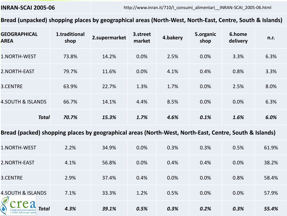### Bread (unpacked) shopping places by geographical areas (North-West, North-East, Centre, South & Islands)<br> **Read Contracts**

| <b>GEOGRAPHICAL</b><br><b>AREA</b> | 1.traditional<br>shop | 2.supermarket | 3.street<br>market | 4.bakery | 5.organic<br>shop | 6.home<br>delivery | n.r. |
|------------------------------------|-----------------------|---------------|--------------------|----------|-------------------|--------------------|------|
| 1.NORTH-WEST                       | 73.8%                 | 14.2%         | 0.0%               | 2.5%     | 0.0%              | 3.3%               | 6.3% |
| 2.NORTH-EAST                       | 79.7%                 | 11.6%         | 0.0%               | 4.1%     | 0.4%              | 0.8%               | 3.3% |
| 3.CENTRE                           | 63.9%                 | 22.7%         | 1.3%               | 1.7%     | 0.0%              | 2.5%               | 8.0% |
| <b>4.SOUTH &amp; ISLANDS</b>       | 66.7%                 | 14.1%         | 4.4%               | 8.5%     | 0.0%              | 0.0%               | 6.3% |
| <b>Total</b>                       | 70.7%                 | 15.3%         | 1.7%               | 4.6%     | 0.1%              | 1.6%               | 6.0% |

#### **Bread (packed) shopping places by geographical areas (North-West, North-East, Centre, South & Islands)**

| rea<br><b>Total</b>          | 4.3% | 39.1% | 0.5% | 0.3% | 0.2% | 0.3% | 55.4% |
|------------------------------|------|-------|------|------|------|------|-------|
| <b>4.SOUTH &amp; ISLANDS</b> | 7.1% | 33.3% | 1.2% | 0.5% | 0.0% | 0.0% | 57.9% |
| 3.CENTRE                     | 2.9% | 37.4% | 0.4% | 0.0% | 0.0% | 0.8% | 58.4% |
| 2.NORTH-EAST                 | 4.1% | 56.8% | 0.0% | 0.4% | 0.4% | 0.0% | 38.2% |
| 1.NORTH-WEST                 | 2.2% | 34.9% | 0.0% | 0.3% | 0.3% | 0.5% | 61.9% |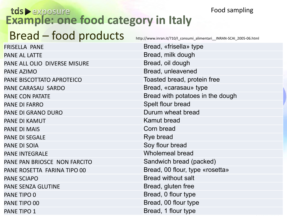## **Example: one food category in Italy**

#### Food sampling

### Bread – food products http://www.inran.it/710/I\_consumi\_alimentari\_\_INRAN-SCAI\_2005-06.html

| FRISELLA PANE                | Bread, «frisella» type           |
|------------------------------|----------------------------------|
| PANE AL LATTE                | Bread, milk dough                |
| PANE ALL OLIO DIVERSE MISURE | Bread, oil dough                 |
| PANE AZIMO                   | Bread, unleavened                |
| PANE BISCOTTATO APROTEICO    | Toasted bread, protein free      |
| PANE CARASAU SARDO           | Bread, «carasau» type            |
| PANE CON PATATE              | Bread with potatoes in the dough |
| PANE DI FARRO                | Spelt flour bread                |
| PANE DI GRANO DURO           | Durum wheat bread                |
| PANE DI KAMUT                | <b>Kamut bread</b>               |
| <b>PANE DI MAIS</b>          | Corn bread                       |
| <b>PANE DI SEGALE</b>        | Rye bread                        |
| PANE DI SOIA                 | Soy flour bread                  |
| <b>PANE INTEGRALE</b>        | <b>Wholemeal bread</b>           |
| PANE PAN BRIOSCE NON FARCITO | Sandwich bread (packed)          |
| PANE ROSETTA FARINA TIPO 00  | Bread, 00 flour, type «rosetta»  |
| PANE SCIAPO                  | <b>Bread without salt</b>        |
| PANE SENZA GLUTINE           | Bread, gluten free               |
| PANE TIPO 0                  | Bread, 0 flour type              |
| PANE TIPO 00                 | Bread, 00 flour type             |
| PANE TIPO 1                  | Bread, 1 flour type              |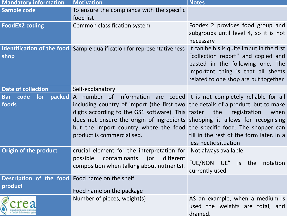| <b>Mandatory information</b>                              | <b>Motivation</b>                                                                                                                                                                                                                                                                                                                                                                                               | <b>Notes</b>                                                                                                                                                                                       |
|-----------------------------------------------------------|-----------------------------------------------------------------------------------------------------------------------------------------------------------------------------------------------------------------------------------------------------------------------------------------------------------------------------------------------------------------------------------------------------------------|----------------------------------------------------------------------------------------------------------------------------------------------------------------------------------------------------|
| <b>Sample code</b>                                        | To ensure the compliance with the specific<br>food list                                                                                                                                                                                                                                                                                                                                                         |                                                                                                                                                                                                    |
| <b>FoodEX2 coding</b>                                     | Common classification system                                                                                                                                                                                                                                                                                                                                                                                    | Foodex 2 provides food group and<br>subgroups until level 4, so it is not<br>necessary                                                                                                             |
| shop                                                      | Identification of the food Sample qualification for representativeness                                                                                                                                                                                                                                                                                                                                          | It can be his is quite imput in the first<br>"collection report" and copied and<br>pasted in the following one. The<br>important thing is that all sheets<br>related to one shop are put together. |
| <b>Date of collection</b>                                 | Self-explanatory                                                                                                                                                                                                                                                                                                                                                                                                |                                                                                                                                                                                                    |
| Bar code<br>packed<br><b>for</b><br>foods                 | A number of information are coded It is not completely reliable for all<br>including country of import (the first two the details of a product, but to make<br>digits according to the GS1 software). This faster the<br>does not ensure the origin of ingredients shopping it allows for recognising<br>but the import country where the food the specific food. The shopper can<br>product is commercialised. | registration<br>when<br>fill in the rest of the form later, in a<br>less hectic situation                                                                                                          |
| Origin of the product                                     | crucial element for the interpretation for<br>contaminants<br>(<br>different<br>possible<br>composition when talking about nutrients).                                                                                                                                                                                                                                                                          | Not always available<br>"UE/NON UE"<br>the<br><i>is</i><br>notation<br>currently used                                                                                                              |
| Description of the food Food name on the shelf<br>product | Food name on the package                                                                                                                                                                                                                                                                                                                                                                                        |                                                                                                                                                                                                    |
|                                                           | Number of pieces, weight(s)                                                                                                                                                                                                                                                                                                                                                                                     | AS an example, when a medium is<br>used the weights are total, and<br>drained.                                                                                                                     |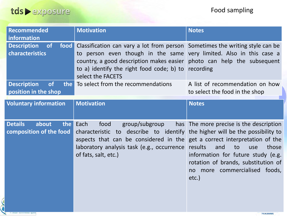

 $\chi$ 

| <b>Description</b><br><b>of</b><br>food<br>characteristics        | Classification can vary a lot from person Sometimes the writing style can be<br>to person even though in the same very limited. Also in this case a<br>country, a good description makes easier photo can help the subsequent                             |                                                                                                                                                                                                                           |  |  |
|-------------------------------------------------------------------|-----------------------------------------------------------------------------------------------------------------------------------------------------------------------------------------------------------------------------------------------------------|---------------------------------------------------------------------------------------------------------------------------------------------------------------------------------------------------------------------------|--|--|
|                                                                   | to a) identify the right food code; b) to recording<br>select the FACETS                                                                                                                                                                                  |                                                                                                                                                                                                                           |  |  |
| <b>Description</b><br>of<br>position in the shop                  | the To select from the recommendations                                                                                                                                                                                                                    | A list of recommendation on how<br>to select the food in the shop                                                                                                                                                         |  |  |
| <b>Voluntary information</b>                                      | <b>Motivation</b>                                                                                                                                                                                                                                         | <b>Notes</b>                                                                                                                                                                                                              |  |  |
| <b>Details</b><br>about<br>the<br>Each<br>composition of the food | group/subgroup<br>food<br>characteristic to describe to identify the higher will be the possibility to<br>aspects that can be considered in the get a correct interpretation of the<br>laboratory analysis task (e.g., occurrence<br>of fats, salt, etc.) | has The more precise is the description<br>results<br>and<br>those<br>to<br>use<br>information for future study (e.g.<br>rotation of brands, substitution of<br>more commercialised foods,<br>no<br>$etc.$ )<br>PROGRAMME |  |  |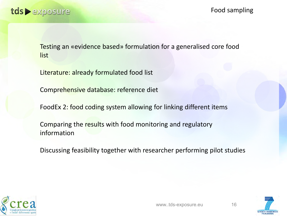Testing an «evidence based» formulation for a generalised core food list

Literature: already formulated food list

Comprehensive database: reference diet

FoodEx 2: food coding system allowing for linking different items

Comparing the results with food monitoring and regulatory information

Discussing feasibility together with researcher performing pilot studies



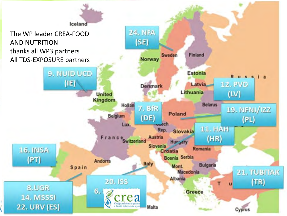